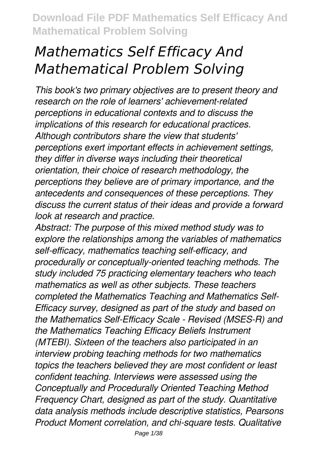# *Mathematics Self Efficacy And Mathematical Problem Solving*

*This book's two primary objectives are to present theory and research on the role of learners' achievement-related perceptions in educational contexts and to discuss the implications of this research for educational practices. Although contributors share the view that students' perceptions exert important effects in achievement settings, they differ in diverse ways including their theoretical orientation, their choice of research methodology, the perceptions they believe are of primary importance, and the antecedents and consequences of these perceptions. They discuss the current status of their ideas and provide a forward look at research and practice.*

*Abstract: The purpose of this mixed method study was to explore the relationships among the variables of mathematics self-efficacy, mathematics teaching self-efficacy, and procedurally or conceptually-oriented teaching methods. The study included 75 practicing elementary teachers who teach mathematics as well as other subjects. These teachers completed the Mathematics Teaching and Mathematics Self-Efficacy survey, designed as part of the study and based on the Mathematics Self-Efficacy Scale - Revised (MSES-R) and the Mathematics Teaching Efficacy Beliefs Instrument (MTEBI). Sixteen of the teachers also participated in an interview probing teaching methods for two mathematics topics the teachers believed they are most confident or least confident teaching. Interviews were assessed using the Conceptually and Procedurally Oriented Teaching Method Frequency Chart, designed as part of the study. Quantitative data analysis methods include descriptive statistics, Pearsons Product Moment correlation, and chi-square tests. Qualitative*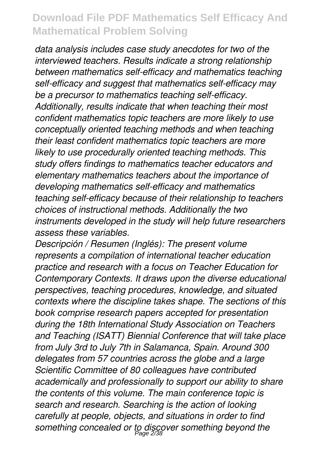*data analysis includes case study anecdotes for two of the interviewed teachers. Results indicate a strong relationship between mathematics self-efficacy and mathematics teaching self-efficacy and suggest that mathematics self-efficacy may be a precursor to mathematics teaching self-efficacy. Additionally, results indicate that when teaching their most confident mathematics topic teachers are more likely to use conceptually oriented teaching methods and when teaching their least confident mathematics topic teachers are more likely to use procedurally oriented teaching methods. This study offers findings to mathematics teacher educators and elementary mathematics teachers about the importance of developing mathematics self-efficacy and mathematics teaching self-efficacy because of their relationship to teachers choices of instructional methods. Additionally the two instruments developed in the study will help future researchers assess these variables.*

*Descripción / Resumen (Inglés): The present volume represents a compilation of international teacher education practice and research with a focus on Teacher Education for Contemporary Contexts. It draws upon the diverse educational perspectives, teaching procedures, knowledge, and situated contexts where the discipline takes shape. The sections of this book comprise research papers accepted for presentation during the 18th International Study Association on Teachers and Teaching (ISATT) Biennial Conference that will take place from July 3rd to July 7th in Salamanca, Spain. Around 300 delegates from 57 countries across the globe and a large Scientific Committee of 80 colleagues have contributed academically and professionally to support our ability to share the contents of this volume. The main conference topic is search and research. Searching is the action of looking carefully at people, objects, and situations in order to find something concealed or to discover something beyond the* Page 2/38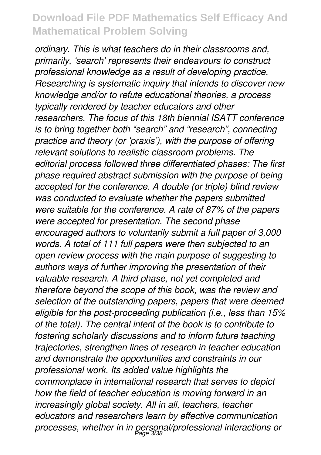*ordinary. This is what teachers do in their classrooms and, primarily, 'search' represents their endeavours to construct professional knowledge as a result of developing practice. Researching is systematic inquiry that intends to discover new knowledge and/or to refute educational theories, a process typically rendered by teacher educators and other researchers. The focus of this 18th biennial ISATT conference is to bring together both "search" and "research", connecting practice and theory (or 'praxis'), with the purpose of offering relevant solutions to realistic classroom problems. The editorial process followed three differentiated phases: The first phase required abstract submission with the purpose of being accepted for the conference. A double (or triple) blind review was conducted to evaluate whether the papers submitted were suitable for the conference. A rate of 87% of the papers were accepted for presentation. The second phase encouraged authors to voluntarily submit a full paper of 3,000 words. A total of 111 full papers were then subjected to an open review process with the main purpose of suggesting to authors ways of further improving the presentation of their valuable research. A third phase, not yet completed and therefore beyond the scope of this book, was the review and selection of the outstanding papers, papers that were deemed eligible for the post-proceeding publication (i.e., less than 15% of the total). The central intent of the book is to contribute to fostering scholarly discussions and to inform future teaching trajectories, strengthen lines of research in teacher education and demonstrate the opportunities and constraints in our professional work. Its added value highlights the commonplace in international research that serves to depict how the field of teacher education is moving forward in an increasingly global society. All in all, teachers, teacher educators and researchers learn by effective communication processes, whether in in personal/professional interactions or* Page 3/38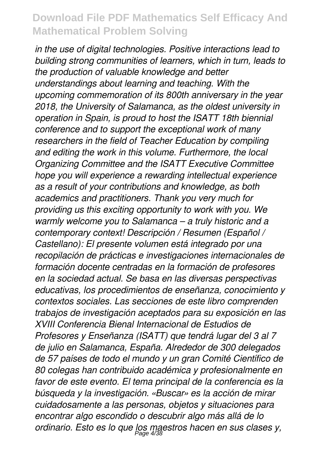*in the use of digital technologies. Positive interactions lead to building strong communities of learners, which in turn, leads to the production of valuable knowledge and better understandings about learning and teaching. With the upcoming commemoration of its 800th anniversary in the year 2018, the University of Salamanca, as the oldest university in operation in Spain, is proud to host the ISATT 18th biennial conference and to support the exceptional work of many researchers in the field of Teacher Education by compiling and editing the work in this volume. Furthermore, the local Organizing Committee and the ISATT Executive Committee hope you will experience a rewarding intellectual experience as a result of your contributions and knowledge, as both academics and practitioners. Thank you very much for providing us this exciting opportunity to work with you. We warmly welcome you to Salamanca – a truly historic and a contemporary context! Descripción / Resumen (Español / Castellano): El presente volumen está integrado por una recopilación de prácticas e investigaciones internacionales de formación docente centradas en la formación de profesores en la sociedad actual. Se basa en las diversas perspectivas educativas, los procedimientos de enseñanza, conocimiento y contextos sociales. Las secciones de este libro comprenden trabajos de investigación aceptados para su exposición en las XVIII Conferencia Bienal Internacional de Estudios de Profesores y Enseñanza (ISATT) que tendrá lugar del 3 al 7 de julio en Salamanca, España. Alrededor de 300 delegados de 57 países de todo el mundo y un gran Comité Científico de 80 colegas han contribuido académica y profesionalmente en favor de este evento. El tema principal de la conferencia es la búsqueda y la investigación. «Buscar» es la acción de mirar cuidadosamente a las personas, objetos y situaciones para encontrar algo escondido o descubrir algo más allá de lo ordinario. Esto es lo que los maestros hacen en sus clases y,* Page 4/38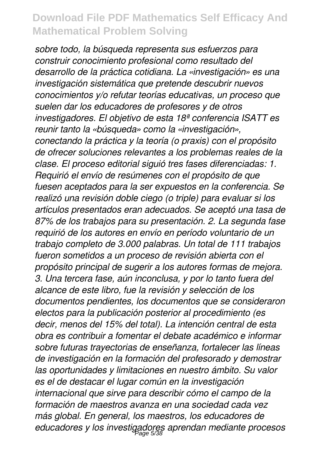*sobre todo, la búsqueda representa sus esfuerzos para construir conocimiento profesional como resultado del desarrollo de la práctica cotidiana. La «investigación» es una investigación sistemática que pretende descubrir nuevos conocimientos y/o refutar teorías educativas, un proceso que suelen dar los educadores de profesores y de otros investigadores. El objetivo de esta 18ª conferencia ISATT es reunir tanto la «búsqueda» como la «investigación», conectando la práctica y la teoría (o praxis) con el propósito de ofrecer soluciones relevantes a los problemas reales de la clase. El proceso editorial siguió tres fases diferenciadas: 1. Requirió el envío de resúmenes con el propósito de que fuesen aceptados para la ser expuestos en la conferencia. Se realizó una revisión doble ciego (o triple) para evaluar si los artículos presentados eran adecuados. Se aceptó una tasa de 87% de los trabajos para su presentación. 2. La segunda fase requirió de los autores en envío en período voluntario de un trabajo completo de 3.000 palabras. Un total de 111 trabajos fueron sometidos a un proceso de revisión abierta con el propósito principal de sugerir a los autores formas de mejora. 3. Una tercera fase, aún inconclusa, y por lo tanto fuera del alcance de este libro, fue la revisión y selección de los documentos pendientes, los documentos que se consideraron electos para la publicación posterior al procedimiento (es decir, menos del 15% del total). La intención central de esta obra es contribuir a fomentar el debate académico e informar sobre futuras trayectorias de enseñanza, fortalecer las líneas de investigación en la formación del profesorado y demostrar las oportunidades y limitaciones en nuestro ámbito. Su valor es el de destacar el lugar común en la investigación internacional que sirve para describir cómo el campo de la formación de maestros avanza en una sociedad cada vez más global. En general, los maestros, los educadores de educadores y los investigadores aprendan mediante procesos* Page 5/38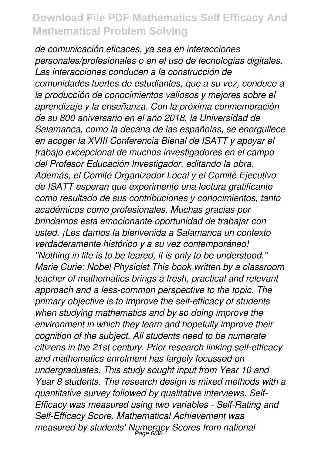*de comunicación eficaces, ya sea en interacciones personales/profesionales o en el uso de tecnologías digitales. Las interacciones conducen a la construcción de comunidades fuertes de estudiantes, que a su vez, conduce a la producción de conocimientos valiosos y mejores sobre el aprendizaje y la enseñanza. Con la próxima conmemoración de su 800 aniversario en el año 2018, la Universidad de Salamanca, como la decana de las españolas, se enorgullece en acoger la XVIII Conferencia Bienal de ISATT y apoyar el trabajo excepcional de muchos investigadores en el campo del Profesor Educación Investigador, editando la obra. Además, el Comité Organizador Local y el Comité Ejecutivo de ISATT esperan que experimente una lectura gratificante como resultado de sus contribuciones y conocimientos, tanto académicos como profesionales. Muchas gracias por brindarnos esta emocionante oportunidad de trabajar con usted. ¡Les damos la bienvenida a Salamanca un contexto verdaderamente histórico y a su vez contemporáneo! "Nothing in life is to be feared, it is only to be understood." Marie Curie: Nobel Physicist This book written by a classroom teacher of mathematics brings a fresh, practical and relevant approach and a less-common perspective to the topic. The primary objective is to improve the self-efficacy of students when studying mathematics and by so doing improve the environment in which they learn and hopefully improve their cognition of the subject. All students need to be numerate citizens in the 21st century. Prior research linking self-efficacy and mathematics enrolment has largely focussed on undergraduates. This study sought input from Year 10 and Year 8 students. The research design is mixed methods with a quantitative survey followed by qualitative interviews. Self-Efficacy was measured using two variables - Self-Rating and Self-Efficacy Score. Mathematical Achievement was measured by students' Numeracy Scores from national* Page 6/38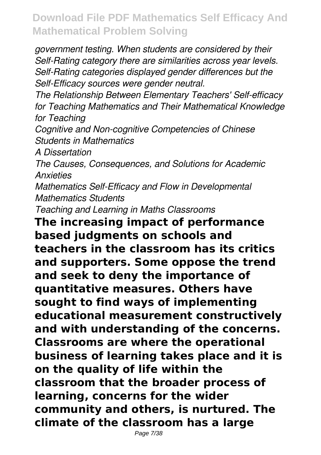*government testing. When students are considered by their Self-Rating category there are similarities across year levels. Self-Rating categories displayed gender differences but the Self-Efficacy sources were gender neutral.*

*The Relationship Between Elementary Teachers' Self-efficacy for Teaching Mathematics and Their Mathematical Knowledge for Teaching*

*Cognitive and Non-cognitive Competencies of Chinese Students in Mathematics*

*A Dissertation*

*The Causes, Consequences, and Solutions for Academic Anxieties*

*Mathematics Self-Efficacy and Flow in Developmental Mathematics Students*

*Teaching and Learning in Maths Classrooms*

**The increasing impact of performance based judgments on schools and teachers in the classroom has its critics and supporters. Some oppose the trend and seek to deny the importance of quantitative measures. Others have sought to find ways of implementing educational measurement constructively and with understanding of the concerns. Classrooms are where the operational business of learning takes place and it is on the quality of life within the classroom that the broader process of learning, concerns for the wider community and others, is nurtured. The climate of the classroom has a large**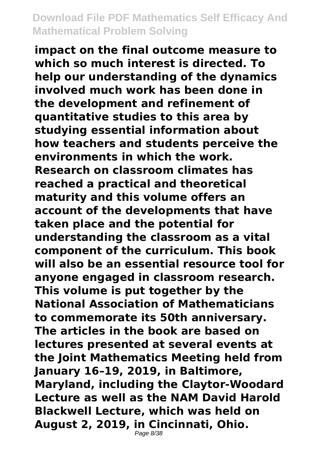**impact on the final outcome measure to which so much interest is directed. To help our understanding of the dynamics involved much work has been done in the development and refinement of quantitative studies to this area by studying essential information about how teachers and students perceive the environments in which the work. Research on classroom climates has reached a practical and theoretical maturity and this volume offers an account of the developments that have taken place and the potential for understanding the classroom as a vital component of the curriculum. This book will also be an essential resource tool for anyone engaged in classroom research. This volume is put together by the National Association of Mathematicians to commemorate its 50th anniversary. The articles in the book are based on lectures presented at several events at the Joint Mathematics Meeting held from January 16–19, 2019, in Baltimore, Maryland, including the Claytor-Woodard Lecture as well as the NAM David Harold Blackwell Lecture, which was held on August 2, 2019, in Cincinnati, Ohio.** Page 8/38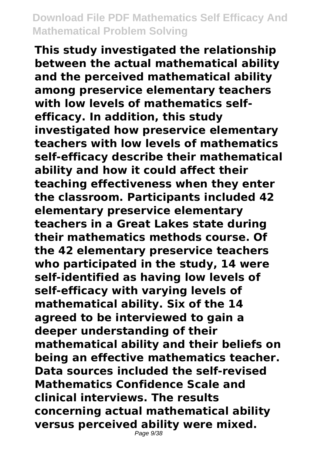**This study investigated the relationship between the actual mathematical ability and the perceived mathematical ability among preservice elementary teachers with low levels of mathematics selfefficacy. In addition, this study investigated how preservice elementary teachers with low levels of mathematics self-efficacy describe their mathematical ability and how it could affect their teaching effectiveness when they enter the classroom. Participants included 42 elementary preservice elementary teachers in a Great Lakes state during their mathematics methods course. Of the 42 elementary preservice teachers who participated in the study, 14 were self-identified as having low levels of self-efficacy with varying levels of mathematical ability. Six of the 14 agreed to be interviewed to gain a deeper understanding of their mathematical ability and their beliefs on being an effective mathematics teacher. Data sources included the self-revised Mathematics Confidence Scale and clinical interviews. The results concerning actual mathematical ability versus perceived ability were mixed.**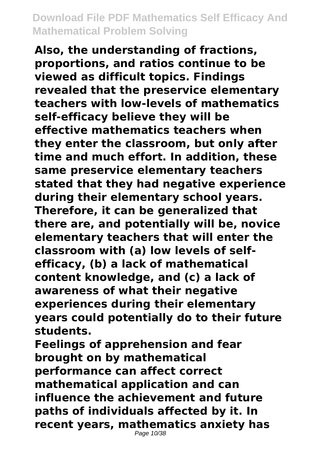**Also, the understanding of fractions, proportions, and ratios continue to be viewed as difficult topics. Findings revealed that the preservice elementary teachers with low-levels of mathematics self-efficacy believe they will be effective mathematics teachers when they enter the classroom, but only after time and much effort. In addition, these same preservice elementary teachers stated that they had negative experience during their elementary school years. Therefore, it can be generalized that there are, and potentially will be, novice elementary teachers that will enter the classroom with (a) low levels of selfefficacy, (b) a lack of mathematical content knowledge, and (c) a lack of awareness of what their negative experiences during their elementary years could potentially do to their future students.**

**Feelings of apprehension and fear brought on by mathematical performance can affect correct mathematical application and can influence the achievement and future paths of individuals affected by it. In recent years, mathematics anxiety has**

Page 10/38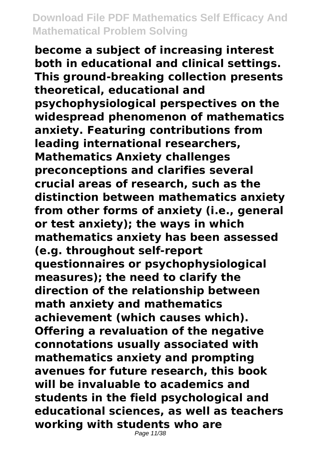**become a subject of increasing interest both in educational and clinical settings. This ground-breaking collection presents theoretical, educational and psychophysiological perspectives on the widespread phenomenon of mathematics anxiety. Featuring contributions from leading international researchers, Mathematics Anxiety challenges preconceptions and clarifies several crucial areas of research, such as the distinction between mathematics anxiety from other forms of anxiety (i.e., general or test anxiety); the ways in which mathematics anxiety has been assessed (e.g. throughout self-report questionnaires or psychophysiological measures); the need to clarify the direction of the relationship between math anxiety and mathematics achievement (which causes which). Offering a revaluation of the negative connotations usually associated with mathematics anxiety and prompting avenues for future research, this book will be invaluable to academics and students in the field psychological and educational sciences, as well as teachers working with students who are**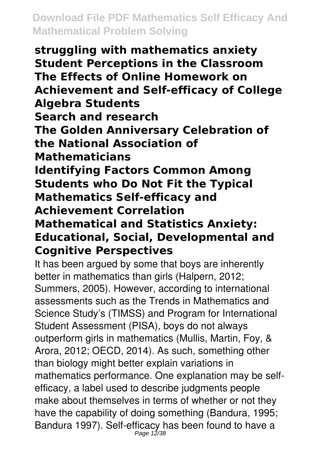**struggling with mathematics anxiety Student Perceptions in the Classroom The Effects of Online Homework on Achievement and Self-efficacy of College Algebra Students Search and research The Golden Anniversary Celebration of the National Association of Mathematicians Identifying Factors Common Among Students who Do Not Fit the Typical Mathematics Self-efficacy and Achievement Correlation Mathematical and Statistics Anxiety: Educational, Social, Developmental and Cognitive Perspectives**

It has been argued by some that boys are inherently better in mathematics than girls (Halpern, 2012; Summers, 2005). However, according to international assessments such as the Trends in Mathematics and Science Study's (TIMSS) and Program for International Student Assessment (PISA), boys do not always outperform girls in mathematics (Mullis, Martin, Foy, & Arora, 2012; OECD, 2014). As such, something other than biology might better explain variations in mathematics performance. One explanation may be selfefficacy, a label used to describe judgments people make about themselves in terms of whether or not they have the capability of doing something (Bandura, 1995; Bandura 1997). Self-efficacy has been found to have a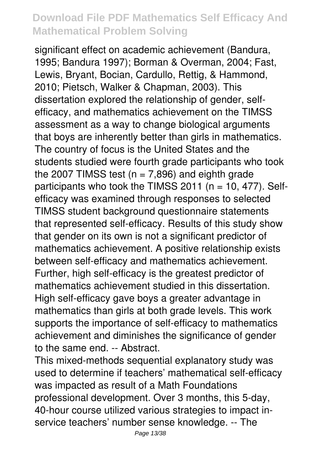significant effect on academic achievement (Bandura, 1995; Bandura 1997); Borman & Overman, 2004; Fast, Lewis, Bryant, Bocian, Cardullo, Rettig, & Hammond, 2010; Pietsch, Walker & Chapman, 2003). This dissertation explored the relationship of gender, selfefficacy, and mathematics achievement on the TIMSS assessment as a way to change biological arguments that boys are inherently better than girls in mathematics. The country of focus is the United States and the students studied were fourth grade participants who took the 2007 TIMSS test ( $n = 7,896$ ) and eighth grade participants who took the TIMSS 2011 ( $n = 10$ , 477). Selfefficacy was examined through responses to selected TIMSS student background questionnaire statements that represented self-efficacy. Results of this study show that gender on its own is not a significant predictor of mathematics achievement. A positive relationship exists between self-efficacy and mathematics achievement. Further, high self-efficacy is the greatest predictor of mathematics achievement studied in this dissertation. High self-efficacy gave boys a greater advantage in mathematics than girls at both grade levels. This work supports the importance of self-efficacy to mathematics achievement and diminishes the significance of gender to the same end. -- Abstract.

This mixed-methods sequential explanatory study was used to determine if teachers' mathematical self-efficacy was impacted as result of a Math Foundations professional development. Over 3 months, this 5-day, 40-hour course utilized various strategies to impact inservice teachers' number sense knowledge. -- The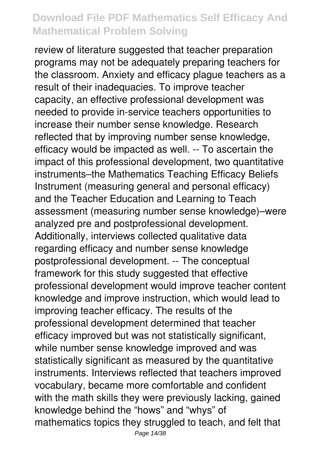review of literature suggested that teacher preparation programs may not be adequately preparing teachers for the classroom. Anxiety and efficacy plague teachers as a result of their inadequacies. To improve teacher capacity, an effective professional development was needed to provide in-service teachers opportunities to increase their number sense knowledge. Research reflected that by improving number sense knowledge, efficacy would be impacted as well. -- To ascertain the impact of this professional development, two quantitative instruments–the Mathematics Teaching Efficacy Beliefs Instrument (measuring general and personal efficacy) and the Teacher Education and Learning to Teach assessment (measuring number sense knowledge)–were analyzed pre and postprofessional development. Additionally, interviews collected qualitative data regarding efficacy and number sense knowledge postprofessional development. -- The conceptual framework for this study suggested that effective professional development would improve teacher content knowledge and improve instruction, which would lead to improving teacher efficacy. The results of the professional development determined that teacher efficacy improved but was not statistically significant, while number sense knowledge improved and was statistically significant as measured by the quantitative instruments. Interviews reflected that teachers improved vocabulary, became more comfortable and confident with the math skills they were previously lacking, gained knowledge behind the "hows" and "whys" of mathematics topics they struggled to teach, and felt that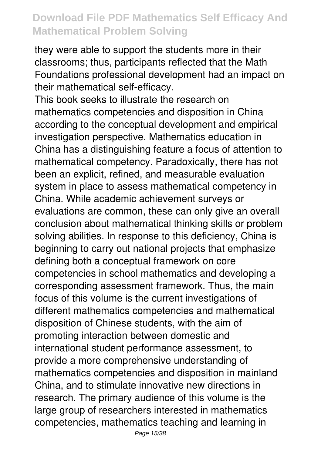they were able to support the students more in their classrooms; thus, participants reflected that the Math Foundations professional development had an impact on their mathematical self-efficacy.

This book seeks to illustrate the research on mathematics competencies and disposition in China according to the conceptual development and empirical investigation perspective. Mathematics education in China has a distinguishing feature a focus of attention to mathematical competency. Paradoxically, there has not been an explicit, refined, and measurable evaluation system in place to assess mathematical competency in China. While academic achievement surveys or evaluations are common, these can only give an overall conclusion about mathematical thinking skills or problem solving abilities. In response to this deficiency, China is beginning to carry out national projects that emphasize defining both a conceptual framework on core competencies in school mathematics and developing a corresponding assessment framework. Thus, the main focus of this volume is the current investigations of different mathematics competencies and mathematical disposition of Chinese students, with the aim of promoting interaction between domestic and international student performance assessment, to provide a more comprehensive understanding of mathematics competencies and disposition in mainland China, and to stimulate innovative new directions in research. The primary audience of this volume is the large group of researchers interested in mathematics competencies, mathematics teaching and learning in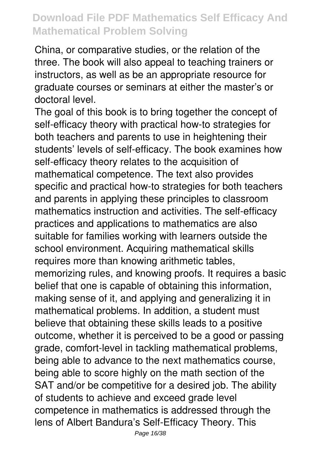China, or comparative studies, or the relation of the three. The book will also appeal to teaching trainers or instructors, as well as be an appropriate resource for graduate courses or seminars at either the master's or doctoral level.

The goal of this book is to bring together the concept of self-efficacy theory with practical how-to strategies for both teachers and parents to use in heightening their students' levels of self-efficacy. The book examines how self-efficacy theory relates to the acquisition of mathematical competence. The text also provides specific and practical how-to strategies for both teachers and parents in applying these principles to classroom mathematics instruction and activities. The self-efficacy practices and applications to mathematics are also suitable for families working with learners outside the school environment. Acquiring mathematical skills requires more than knowing arithmetic tables, memorizing rules, and knowing proofs. It requires a basic belief that one is capable of obtaining this information, making sense of it, and applying and generalizing it in mathematical problems. In addition, a student must believe that obtaining these skills leads to a positive outcome, whether it is perceived to be a good or passing grade, comfort-level in tackling mathematical problems, being able to advance to the next mathematics course, being able to score highly on the math section of the SAT and/or be competitive for a desired job. The ability of students to achieve and exceed grade level competence in mathematics is addressed through the lens of Albert Bandura's Self-Efficacy Theory. This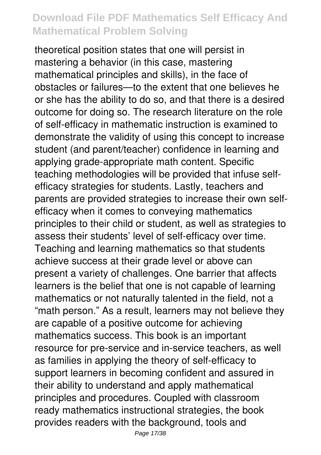theoretical position states that one will persist in mastering a behavior (in this case, mastering mathematical principles and skills), in the face of obstacles or failures—to the extent that one believes he or she has the ability to do so, and that there is a desired outcome for doing so. The research literature on the role of self-efficacy in mathematic instruction is examined to demonstrate the validity of using this concept to increase student (and parent/teacher) confidence in learning and applying grade-appropriate math content. Specific teaching methodologies will be provided that infuse selfefficacy strategies for students. Lastly, teachers and parents are provided strategies to increase their own selfefficacy when it comes to conveying mathematics principles to their child or student, as well as strategies to assess their students' level of self-efficacy over time. Teaching and learning mathematics so that students achieve success at their grade level or above can present a variety of challenges. One barrier that affects learners is the belief that one is not capable of learning mathematics or not naturally talented in the field, not a "math person." As a result, learners may not believe they are capable of a positive outcome for achieving mathematics success. This book is an important resource for pre-service and in-service teachers, as well as families in applying the theory of self-efficacy to support learners in becoming confident and assured in their ability to understand and apply mathematical principles and procedures. Coupled with classroom ready mathematics instructional strategies, the book provides readers with the background, tools and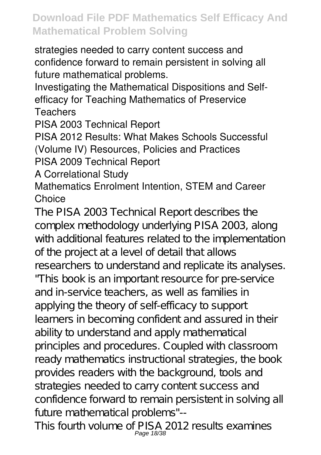strategies needed to carry content success and confidence forward to remain persistent in solving all future mathematical problems.

Investigating the Mathematical Dispositions and Selfefficacy for Teaching Mathematics of Preservice Teachers

PISA 2003 Technical Report

PISA 2012 Results: What Makes Schools Successful (Volume IV) Resources, Policies and Practices PISA 2009 Technical Report

A Correlational Study

#### Mathematics Enrolment Intention, STEM and Career **Choice**

The PISA 2003 Technical Report describes the complex methodology underlying PISA 2003, along with additional features related to the implementation of the project at a level of detail that allows researchers to understand and replicate its analyses. "This book is an important resource for pre-service and in-service teachers, as well as families in applying the theory of self-efficacy to support learners in becoming confident and assured in their ability to understand and apply mathematical principles and procedures. Coupled with classroom ready mathematics instructional strategies, the book provides readers with the background, tools and strategies needed to carry content success and confidence forward to remain persistent in solving all future mathematical problems"--

This fourth volume of PISA 2012 results examines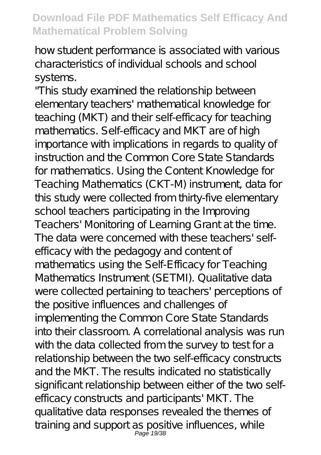how student performance is associated with various characteristics of individual schools and school systems.

"This study examined the relationship between elementary teachers' mathematical knowledge for teaching (MKT) and their self-efficacy for teaching mathematics. Self-efficacy and MKT are of high importance with implications in regards to quality of instruction and the Common Core State Standards for mathematics. Using the Content Knowledge for Teaching Mathematics (CKT-M) instrument, data for this study were collected from thirty-five elementary school teachers participating in the Improving Teachers' Monitoring of Learning Grant at the time. The data were concerned with these teachers' selfefficacy with the pedagogy and content of mathematics using the Self-Efficacy for Teaching Mathematics Instrument (SETMI). Qualitative data were collected pertaining to teachers' perceptions of the positive influences and challenges of implementing the Common Core State Standards into their classroom. A correlational analysis was run with the data collected from the survey to test for a relationship between the two self-efficacy constructs and the MKT. The results indicated no statistically significant relationship between either of the two selfefficacy constructs and participants' MKT. The qualitative data responses revealed the themes of training and support as positive influences, while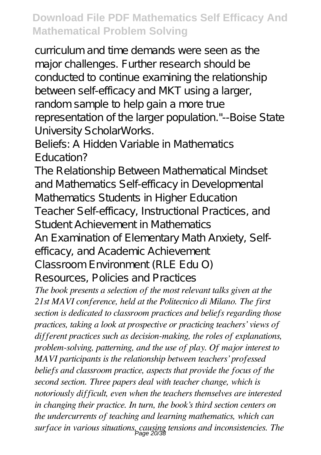curriculum and time demands were seen as the major challenges. Further research should be conducted to continue examining the relationship between self-efficacy and MKT using a larger, random sample to help gain a more true representation of the larger population."--Boise State University ScholarWorks.

Beliefs: A Hidden Variable in Mathematics Education?

The Relationship Between Mathematical Mindset and Mathematics Self-efficacy in Developmental Mathematics Students in Higher Education Teacher Self-efficacy, Instructional Practices, and Student Achievement in Mathematics

An Examination of Elementary Math Anxiety, Self-

efficacy, and Academic Achievement

Classroom Environment (RLE Edu O)

Resources, Policies and Practices

*The book presents a selection of the most relevant talks given at the 21st MAVI conference, held at the Politecnico di Milano. The first section is dedicated to classroom practices and beliefs regarding those practices, taking a look at prospective or practicing teachers' views of different practices such as decision-making, the roles of explanations, problem-solving, patterning, and the use of play. Of major interest to MAVI participants is the relationship between teachers' professed beliefs and classroom practice, aspects that provide the focus of the second section. Three papers deal with teacher change, which is notoriously difficult, even when the teachers themselves are interested in changing their practice. In turn, the book's third section centers on the undercurrents of teaching and learning mathematics, which can surface in various situations, causing tensions and inconsistencies. The* Page 20/38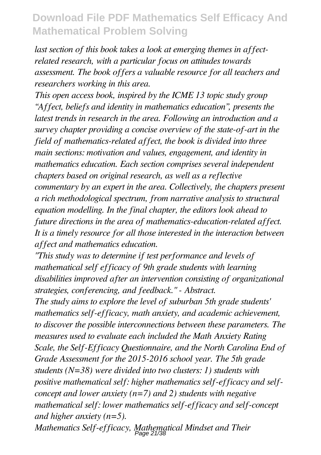*last section of this book takes a look at emerging themes in affectrelated research, with a particular focus on attitudes towards assessment. The book offers a valuable resource for all teachers and researchers working in this area.*

*This open access book, inspired by the ICME 13 topic study group "Affect, beliefs and identity in mathematics education", presents the latest trends in research in the area. Following an introduction and a survey chapter providing a concise overview of the state-of-art in the field of mathematics-related affect, the book is divided into three main sections: motivation and values, engagement, and identity in mathematics education. Each section comprises several independent chapters based on original research, as well as a reflective commentary by an expert in the area. Collectively, the chapters present a rich methodological spectrum, from narrative analysis to structural equation modelling. In the final chapter, the editors look ahead to future directions in the area of mathematics-education-related affect. It is a timely resource for all those interested in the interaction between affect and mathematics education.*

*"This study was to determine if test performance and levels of mathematical self efficacy of 9th grade students with learning disabilities improved after an intervention consisting of organizational strategies, conferencing, and feedback." - Abstract.*

*The study aims to explore the level of suburban 5th grade students' mathematics self-efficacy, math anxiety, and academic achievement, to discover the possible interconnections between these parameters. The measures used to evaluate each included the Math Anxiety Rating Scale, the Self-Efficacy Questionnaire, and the North Carolina End of Grade Assessment for the 2015-2016 school year. The 5th grade students (N=38) were divided into two clusters: 1) students with positive mathematical self: higher mathematics self-efficacy and selfconcept and lower anxiety (n=7) and 2) students with negative mathematical self: lower mathematics self-efficacy and self-concept and higher anxiety (n=5).*

*Mathematics Self-efficacy, Mathematical Mindset and Their* Page 21/38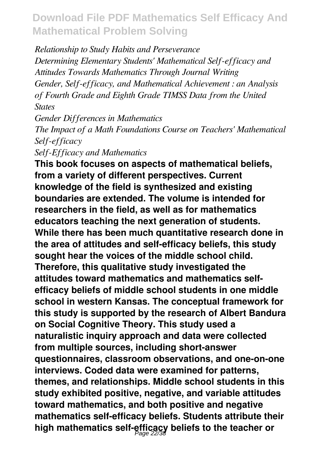*Relationship to Study Habits and Perseverance Determining Elementary Students' Mathematical Self-efficacy and Attitudes Towards Mathematics Through Journal Writing Gender, Self-efficacy, and Mathematical Achievement : an Analysis of Fourth Grade and Eighth Grade TIMSS Data from the United States*

*Gender Differences in Mathematics The Impact of a Math Foundations Course on Teachers' Mathematical Self-efficacy Self-Efficacy and Mathematics*

**This book focuses on aspects of mathematical beliefs, from a variety of different perspectives. Current knowledge of the field is synthesized and existing boundaries are extended. The volume is intended for researchers in the field, as well as for mathematics educators teaching the next generation of students. While there has been much quantitative research done in the area of attitudes and self-efficacy beliefs, this study sought hear the voices of the middle school child. Therefore, this qualitative study investigated the attitudes toward mathematics and mathematics selfefficacy beliefs of middle school students in one middle school in western Kansas. The conceptual framework for this study is supported by the research of Albert Bandura on Social Cognitive Theory. This study used a naturalistic inquiry approach and data were collected from multiple sources, including short-answer questionnaires, classroom observations, and one-on-one interviews. Coded data were examined for patterns, themes, and relationships. Middle school students in this study exhibited positive, negative, and variable attitudes toward mathematics, and both positive and negative mathematics self-efficacy beliefs. Students attribute their high mathematics self-efficacy beliefs to the teacher or** Page 22/38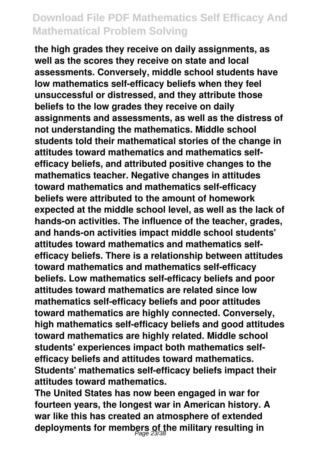**the high grades they receive on daily assignments, as well as the scores they receive on state and local assessments. Conversely, middle school students have low mathematics self-efficacy beliefs when they feel unsuccessful or distressed, and they attribute those beliefs to the low grades they receive on daily assignments and assessments, as well as the distress of not understanding the mathematics. Middle school students told their mathematical stories of the change in attitudes toward mathematics and mathematics selfefficacy beliefs, and attributed positive changes to the mathematics teacher. Negative changes in attitudes toward mathematics and mathematics self-efficacy beliefs were attributed to the amount of homework expected at the middle school level, as well as the lack of hands-on activities. The influence of the teacher, grades, and hands-on activities impact middle school students' attitudes toward mathematics and mathematics selfefficacy beliefs. There is a relationship between attitudes toward mathematics and mathematics self-efficacy beliefs. Low mathematics self-efficacy beliefs and poor attitudes toward mathematics are related since low mathematics self-efficacy beliefs and poor attitudes toward mathematics are highly connected. Conversely, high mathematics self-efficacy beliefs and good attitudes toward mathematics are highly related. Middle school students' experiences impact both mathematics selfefficacy beliefs and attitudes toward mathematics. Students' mathematics self-efficacy beliefs impact their attitudes toward mathematics.**

**The United States has now been engaged in war for fourteen years, the longest war in American history. A war like this has created an atmosphere of extended deployments for members of the military resulting in** Page 23/38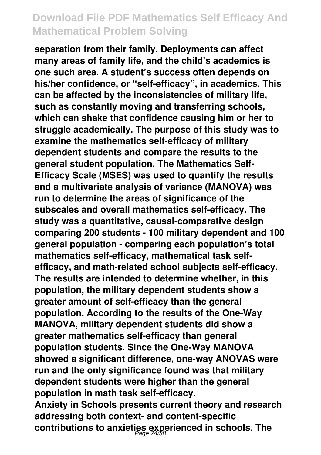**separation from their family. Deployments can affect many areas of family life, and the child's academics is one such area. A student's success often depends on his/her confidence, or "self-efficacy", in academics. This can be affected by the inconsistencies of military life, such as constantly moving and transferring schools, which can shake that confidence causing him or her to struggle academically. The purpose of this study was to examine the mathematics self-efficacy of military dependent students and compare the results to the general student population. The Mathematics Self-Efficacy Scale (MSES) was used to quantify the results and a multivariate analysis of variance (MANOVA) was run to determine the areas of significance of the subscales and overall mathematics self-efficacy. The study was a quantitative, causal-comparative design comparing 200 students - 100 military dependent and 100 general population - comparing each population's total mathematics self-efficacy, mathematical task selfefficacy, and math-related school subjects self-efficacy. The results are intended to determine whether, in this population, the military dependent students show a greater amount of self-efficacy than the general population. According to the results of the One-Way MANOVA, military dependent students did show a greater mathematics self-efficacy than general population students. Since the One-Way MANOVA showed a significant difference, one-way ANOVAS were run and the only significance found was that military dependent students were higher than the general population in math task self-efficacy.**

**Anxiety in Schools presents current theory and research addressing both context- and content-specific contributions to anxieties experienced in schools. The** Page 24/38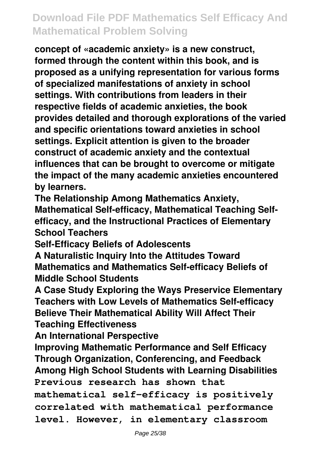**concept of «academic anxiety» is a new construct, formed through the content within this book, and is proposed as a unifying representation for various forms of specialized manifestations of anxiety in school settings. With contributions from leaders in their respective fields of academic anxieties, the book provides detailed and thorough explorations of the varied and specific orientations toward anxieties in school settings. Explicit attention is given to the broader construct of academic anxiety and the contextual influences that can be brought to overcome or mitigate the impact of the many academic anxieties encountered by learners.**

**The Relationship Among Mathematics Anxiety, Mathematical Self-efficacy, Mathematical Teaching Selfefficacy, and the Instructional Practices of Elementary School Teachers**

**Self-Efficacy Beliefs of Adolescents**

**A Naturalistic Inquiry Into the Attitudes Toward Mathematics and Mathematics Self-efficacy Beliefs of Middle School Students**

**A Case Study Exploring the Ways Preservice Elementary Teachers with Low Levels of Mathematics Self-efficacy Believe Their Mathematical Ability Will Affect Their Teaching Effectiveness**

**An International Perspective**

**Improving Mathematic Performance and Self Efficacy Through Organization, Conferencing, and Feedback Among High School Students with Learning Disabilities Previous research has shown that mathematical self-efficacy is positively correlated with mathematical performance level. However, in elementary classroom**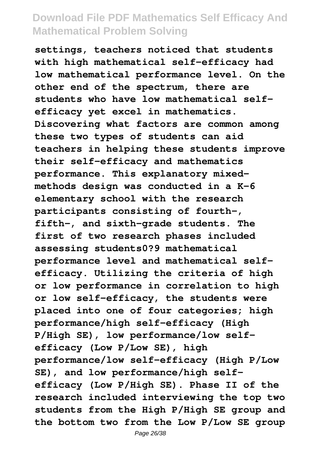**settings, teachers noticed that students with high mathematical self-efficacy had low mathematical performance level. On the other end of the spectrum, there are students who have low mathematical selfefficacy yet excel in mathematics. Discovering what factors are common among these two types of students can aid teachers in helping these students improve their self-efficacy and mathematics performance. This explanatory mixedmethods design was conducted in a K-6 elementary school with the research participants consisting of fourth-, fifth-, and sixth-grade students. The first of two research phases included assessing students0?9 mathematical performance level and mathematical selfefficacy. Utilizing the criteria of high or low performance in correlation to high or low self-efficacy, the students were placed into one of four categories; high performance/high self-efficacy (High P/High SE), low performance/low selfefficacy (Low P/Low SE), high performance/low self-efficacy (High P/Low SE), and low performance/high selfefficacy (Low P/High SE). Phase II of the research included interviewing the top two students from the High P/High SE group and the bottom two from the Low P/Low SE group**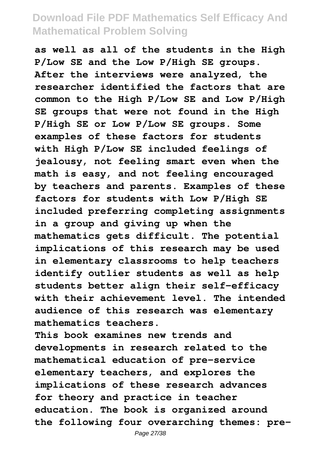**as well as all of the students in the High P/Low SE and the Low P/High SE groups. After the interviews were analyzed, the researcher identified the factors that are common to the High P/Low SE and Low P/High SE groups that were not found in the High P/High SE or Low P/Low SE groups. Some examples of these factors for students with High P/Low SE included feelings of jealousy, not feeling smart even when the math is easy, and not feeling encouraged by teachers and parents. Examples of these factors for students with Low P/High SE included preferring completing assignments in a group and giving up when the mathematics gets difficult. The potential implications of this research may be used in elementary classrooms to help teachers identify outlier students as well as help students better align their self-efficacy with their achievement level. The intended audience of this research was elementary mathematics teachers.**

**This book examines new trends and developments in research related to the mathematical education of pre-service elementary teachers, and explores the implications of these research advances for theory and practice in teacher education. The book is organized around the following four overarching themes: pre-**

Page 27/38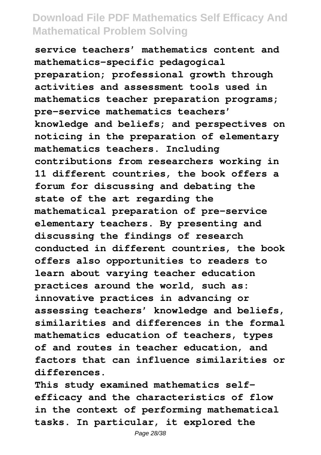**service teachers' mathematics content and mathematics-specific pedagogical preparation; professional growth through activities and assessment tools used in mathematics teacher preparation programs; pre-service mathematics teachers' knowledge and beliefs; and perspectives on noticing in the preparation of elementary mathematics teachers. Including contributions from researchers working in 11 different countries, the book offers a forum for discussing and debating the state of the art regarding the mathematical preparation of pre-service elementary teachers. By presenting and discussing the findings of research conducted in different countries, the book offers also opportunities to readers to learn about varying teacher education practices around the world, such as: innovative practices in advancing or assessing teachers' knowledge and beliefs, similarities and differences in the formal mathematics education of teachers, types of and routes in teacher education, and factors that can influence similarities or differences.**

**This study examined mathematics selfefficacy and the characteristics of flow in the context of performing mathematical tasks. In particular, it explored the**

Page 28/38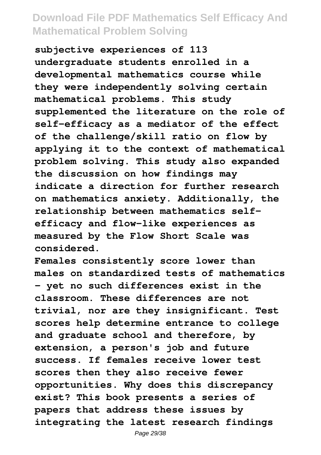**subjective experiences of 113 undergraduate students enrolled in a developmental mathematics course while they were independently solving certain mathematical problems. This study supplemented the literature on the role of self-efficacy as a mediator of the effect of the challenge/skill ratio on flow by applying it to the context of mathematical problem solving. This study also expanded the discussion on how findings may indicate a direction for further research on mathematics anxiety. Additionally, the relationship between mathematics selfefficacy and flow-like experiences as measured by the Flow Short Scale was considered.**

**Females consistently score lower than males on standardized tests of mathematics - yet no such differences exist in the classroom. These differences are not trivial, nor are they insignificant. Test scores help determine entrance to college and graduate school and therefore, by extension, a person's job and future success. If females receive lower test scores then they also receive fewer opportunities. Why does this discrepancy exist? This book presents a series of papers that address these issues by integrating the latest research findings**

Page 29/38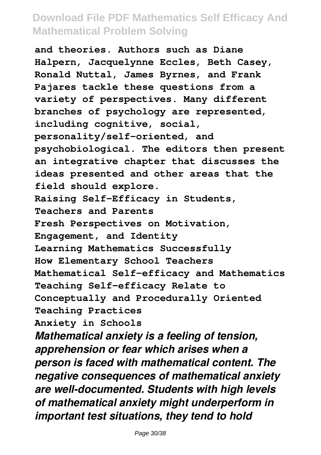**and theories. Authors such as Diane Halpern, Jacquelynne Eccles, Beth Casey, Ronald Nuttal, James Byrnes, and Frank Pajares tackle these questions from a variety of perspectives. Many different branches of psychology are represented, including cognitive, social, personality/self-oriented, and psychobiological. The editors then present an integrative chapter that discusses the ideas presented and other areas that the field should explore. Raising Self-Efficacy in Students, Teachers and Parents Fresh Perspectives on Motivation, Engagement, and Identity Learning Mathematics Successfully How Elementary School Teachers Mathematical Self-efficacy and Mathematics Teaching Self-efficacy Relate to Conceptually and Procedurally Oriented Teaching Practices Anxiety in Schools** *Mathematical anxiety is a feeling of tension, apprehension or fear which arises when a person is faced with mathematical content. The negative consequences of mathematical anxiety are well-documented. Students with high levels of mathematical anxiety might underperform in important test situations, they tend to hold*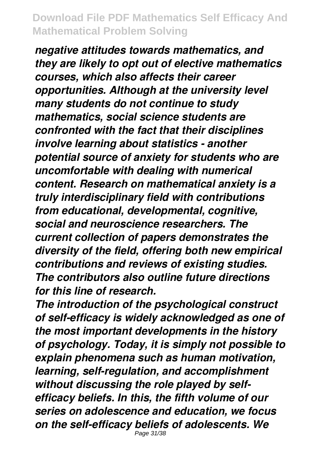*negative attitudes towards mathematics, and they are likely to opt out of elective mathematics courses, which also affects their career opportunities. Although at the university level many students do not continue to study mathematics, social science students are confronted with the fact that their disciplines involve learning about statistics - another potential source of anxiety for students who are uncomfortable with dealing with numerical content. Research on mathematical anxiety is a truly interdisciplinary field with contributions from educational, developmental, cognitive, social and neuroscience researchers. The current collection of papers demonstrates the diversity of the field, offering both new empirical contributions and reviews of existing studies. The contributors also outline future directions for this line of research.*

*The introduction of the psychological construct of self-efficacy is widely acknowledged as one of the most important developments in the history of psychology. Today, it is simply not possible to explain phenomena such as human motivation, learning, self-regulation, and accomplishment without discussing the role played by selfefficacy beliefs. In this, the fifth volume of our series on adolescence and education, we focus on the self-efficacy beliefs of adolescents. We* Page 31/38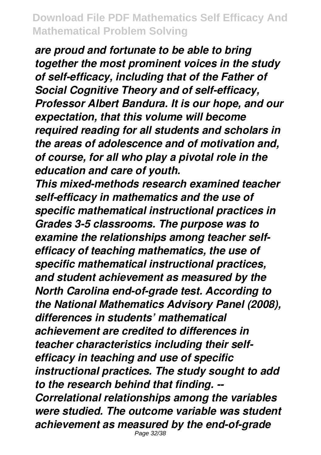*are proud and fortunate to be able to bring together the most prominent voices in the study of self-efficacy, including that of the Father of Social Cognitive Theory and of self-efficacy, Professor Albert Bandura. It is our hope, and our expectation, that this volume will become required reading for all students and scholars in the areas of adolescence and of motivation and, of course, for all who play a pivotal role in the education and care of youth.*

*This mixed-methods research examined teacher self-efficacy in mathematics and the use of specific mathematical instructional practices in Grades 3-5 classrooms. The purpose was to examine the relationships among teacher selfefficacy of teaching mathematics, the use of specific mathematical instructional practices, and student achievement as measured by the North Carolina end-of-grade test. According to the National Mathematics Advisory Panel (2008), differences in students' mathematical achievement are credited to differences in teacher characteristics including their selfefficacy in teaching and use of specific instructional practices. The study sought to add to the research behind that finding. -- Correlational relationships among the variables were studied. The outcome variable was student achievement as measured by the end-of-grade* Page 32/38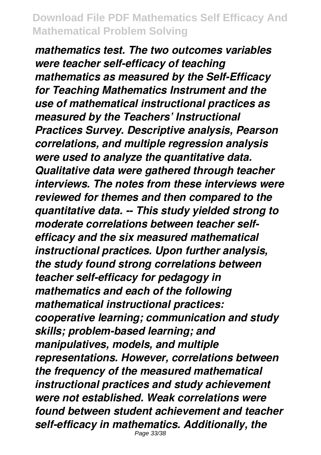*mathematics test. The two outcomes variables were teacher self-efficacy of teaching mathematics as measured by the Self-Efficacy for Teaching Mathematics Instrument and the use of mathematical instructional practices as measured by the Teachers' Instructional Practices Survey. Descriptive analysis, Pearson correlations, and multiple regression analysis were used to analyze the quantitative data. Qualitative data were gathered through teacher interviews. The notes from these interviews were reviewed for themes and then compared to the quantitative data. -- This study yielded strong to moderate correlations between teacher selfefficacy and the six measured mathematical instructional practices. Upon further analysis, the study found strong correlations between teacher self-efficacy for pedagogy in mathematics and each of the following mathematical instructional practices: cooperative learning; communication and study skills; problem-based learning; and manipulatives, models, and multiple representations. However, correlations between the frequency of the measured mathematical instructional practices and study achievement were not established. Weak correlations were found between student achievement and teacher self-efficacy in mathematics. Additionally, the*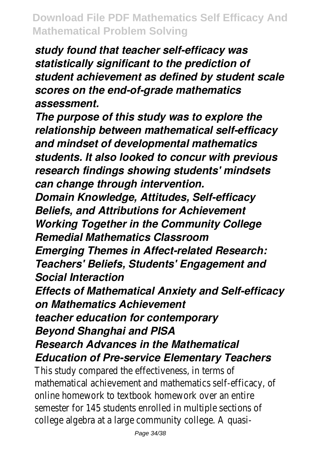*study found that teacher self-efficacy was statistically significant to the prediction of student achievement as defined by student scale scores on the end-of-grade mathematics assessment.*

*The purpose of this study was to explore the relationship between mathematical self-efficacy and mindset of developmental mathematics students. It also looked to concur with previous research findings showing students' mindsets can change through intervention.*

*Domain Knowledge, Attitudes, Self-efficacy Beliefs, and Attributions for Achievement Working Together in the Community College Remedial Mathematics Classroom Emerging Themes in Affect-related Research: Teachers' Beliefs, Students' Engagement and Social Interaction*

*Effects of Mathematical Anxiety and Self-efficacy on Mathematics Achievement*

*teacher education for contemporary Beyond Shanghai and PISA*

# *Research Advances in the Mathematical Education of Pre-service Elementary Teachers*

This study compared the effectiveness, in terms of mathematical achievement and mathematics self-efficacy, of online homework to textbook homework over an entire semester for 145 students enrolled in multiple sections of college algebra at a large community college. A quasi-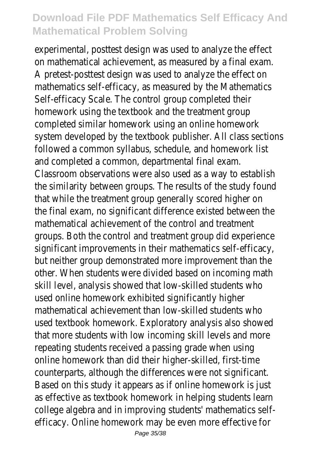experimental, posttest design was used to analyze the effect on mathematical achievement, as measured by a final exam. A pretest-posttest design was used to analyze the effect on mathematics self-efficacy, as measured by the Mathematics Self-efficacy Scale. The control group completed their homework using the textbook and the treatment group completed similar homework using an online homework system developed by the textbook publisher. All class sections followed a common syllabus, schedule, and homework list and completed a common, departmental final exam. Classroom observations were also used as a way to establish the similarity between groups. The results of the study found that while the treatment group generally scored higher on the final exam, no significant difference existed between the mathematical achievement of the control and treatment groups. Both the control and treatment group did experience significant improvements in their mathematics self-efficacy, but neither group demonstrated more improvement than the other. When students were divided based on incoming math skill level, analysis showed that low-skilled students who used online homework exhibited significantly higher mathematical achievement than low-skilled students who used textbook homework. Exploratory analysis also showed that more students with low incoming skill levels and more repeating students received a passing grade when using online homework than did their higher-skilled, first-time counterparts, although the differences were not significant. Based on this study it appears as if online homework is just as effective as textbook homework in helping students learn college algebra and in improving students' mathematics selfefficacy. Online homework may be even more effective for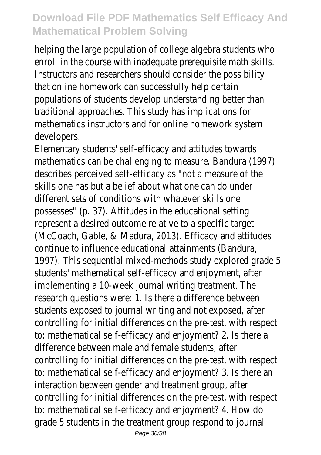helping the large population of college algebra students who enroll in the course with inadequate prerequisite math skills. Instructors and researchers should consider the possibility that online homework can successfully help certain populations of students develop understanding better than traditional approaches. This study has implications for mathematics instructors and for online homework system developers.

Elementary students' self-efficacy and attitudes towards mathematics can be challenging to measure. Bandura (1997) describes perceived self-efficacy as "not a measure of the skills one has but a belief about what one can do under different sets of conditions with whatever skills one possesses" (p. 37). Attitudes in the educational setting represent a desired outcome relative to a specific target (McCoach, Gable, & Madura, 2013). Efficacy and attitudes continue to influence educational attainments (Bandura, 1997). This sequential mixed-methods study explored grade 5 students' mathematical self-efficacy and enjoyment, after implementing a 10-week journal writing treatment. The research questions were: 1. Is there a difference between students exposed to journal writing and not exposed, after controlling for initial differences on the pre-test, with respect to: mathematical self-efficacy and enjoyment? 2. Is there a difference between male and female students, after controlling for initial differences on the pre-test, with respect to: mathematical self-efficacy and enjoyment? 3. Is there an interaction between gender and treatment group, after controlling for initial differences on the pre-test, with respect to: mathematical self-efficacy and enjoyment? 4. How do grade 5 students in the treatment group respond to journal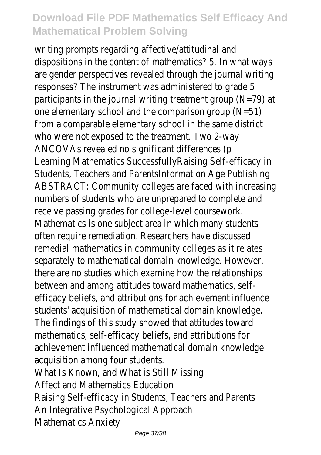writing prompts regarding affective/attitudinal and dispositions in the content of mathematics? 5. In what ways are gender perspectives revealed through the journal writing responses? The instrument was administered to grade 5 participants in the journal writing treatment group (N=79) at one elementary school and the comparison group (N=51) from a comparable elementary school in the same district who were not exposed to the treatment. Two 2-way ANCOVAs revealed no significant differences (p Learning Mathematics SuccessfullyRaising Self-efficacy in Students, Teachers and ParentsInformation Age Publishing ABSTRACT: Community colleges are faced with increasing numbers of students who are unprepared to complete and receive passing grades for college-level coursework. Mathematics is one subject area in which many students often require remediation. Researchers have discussed remedial mathematics in community colleges as it relates separately to mathematical domain knowledge. However, there are no studies which examine how the relationships between and among attitudes toward mathematics, selfefficacy beliefs, and attributions for achievement influence students' acquisition of mathematical domain knowledge. The findings of this study showed that attitudes toward mathematics, self-efficacy beliefs, and attributions for achievement influenced mathematical domain knowledge acquisition among four students. What Is Known, and What is Still Missing Affect and Mathematics Education Raising Self-efficacy in Students, Teachers and Parents An Integrative Psychological Approach Mathematics Anxiety